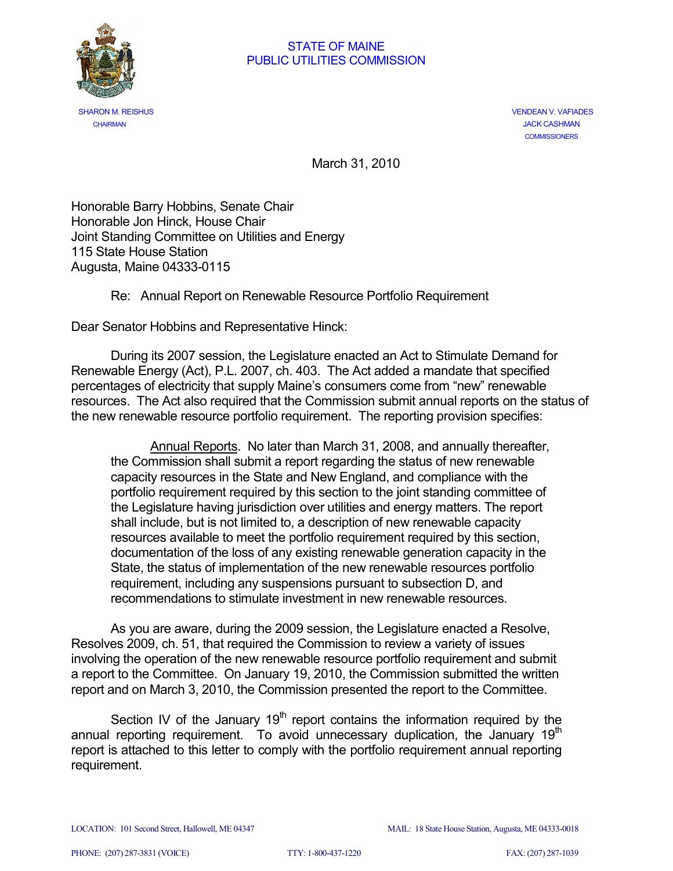

 SHARON M. REISHUS VENDEAN V. VAFIADES CHAIRMAN JACK CASHMAN **COMMISSIONERS** 

March 31, 2010

Honorable Barry Hobbins, Senate Chair Honorable Jon Hinck, House Chair Joint Standing Committee on Utilities and Energy 115 State House Station Augusta, Maine 04333-0115

#### Re: Annual Report on Renewable Resource Portfolio Requirement

Dear Senator Hobbins and Representative Hinck:

During its 2007 session, the Legislature enacted an Act to Stimulate Demand for Renewable Energy (Act), P.L. 2007, ch. 403. The Act added a mandate that specified percentages of electricity that supply Maine's consumers come from "new" renewable resources. The Act also required that the Commission submit annual reports on the status of the new renewable resource portfolio requirement. The reporting provision specifies:

Annual Reports. No later than March 31, 2008, and annually thereafter, the Commission shall submit a report regarding the status of new renewable capacity resources in the State and New England, and compliance with the portfolio requirement required by this section to the joint standing committee of the Legislature having jurisdiction over utilities and energy matters. The report shall include, but is not limited to, a description of new renewable capacity resources available to meet the portfolio requirement required by this section, documentation of the loss of any existing renewable generation capacity in the State, the status of implementation of the new renewable resources portfolio requirement, including any suspensions pursuant to subsection D, and recommendations to stimulate investment in new renewable resources.

As you are aware, during the 2009 session, the Legislature enacted a Resolve, Resolves 2009, ch. 51, that required the Commission to review a variety of issues involving the operation of the new renewable resource portfolio requirement and submit a report to the Committee. On January 19, 2010, the Commission submitted the written report and on March 3, 2010, the Commission presented the report to the Committee.

Section IV of the January  $19<sup>th</sup>$  report contains the information required by the annual reporting requirement. To avoid unnecessary duplication, the January  $19<sup>th</sup>$ report is attached to this letter to comply with the portfolio requirement annual reporting requirement.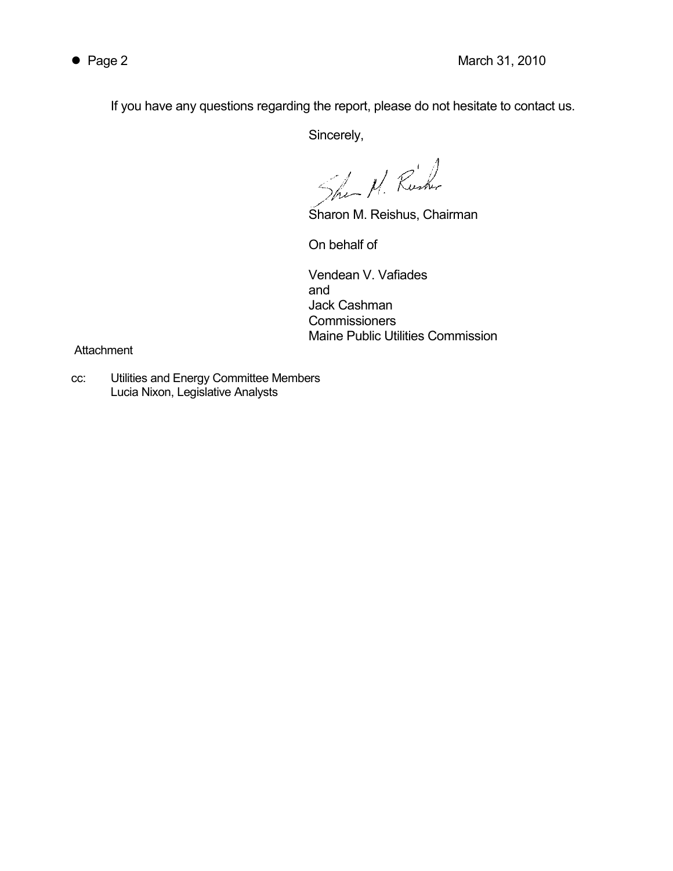If you have any questions regarding the report, please do not hesitate to contact us.

Sincerely,

Shea N. Rusher

Sharon M. Reishus, Chairman

On behalf of

 Vendean V. Vafiades and the contract of the contract of the contract of the contract of the contract of the contract of the contract of the contract of the contract of the contract of the contract of the contract of the contract of the contra Jack Cashman **Commissioners** Maine Public Utilities Commission

**Attachment** 

cc: Utilities and Energy Committee Members Lucia Nixon, Legislative Analysts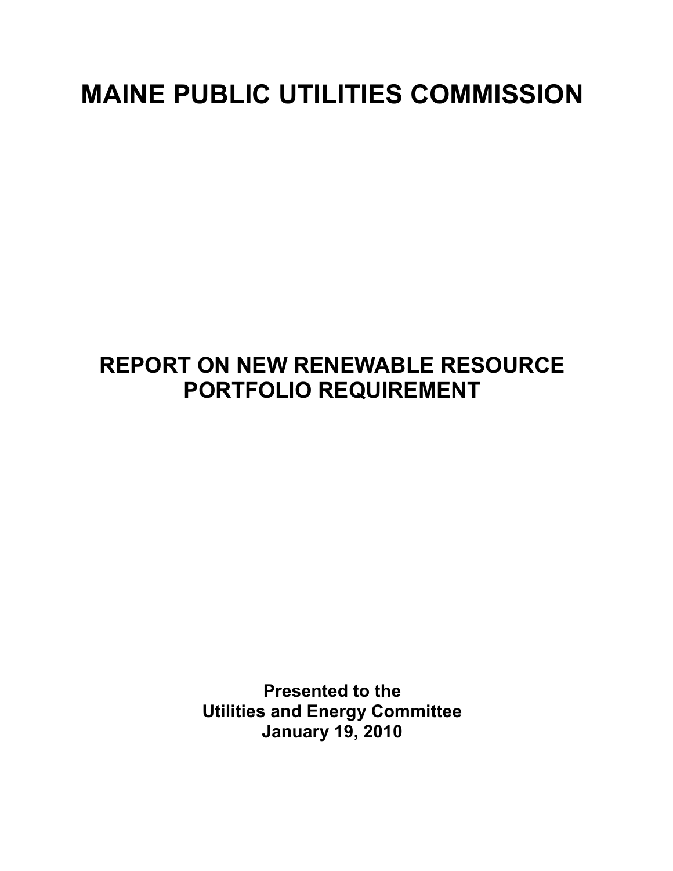# MAINE PUBLIC UTILITIES COMMISSION

# REPORT ON NEW RENEWABLE RESOURCE PORTFOLIO REQUIREMENT

Presented to the Utilities and Energy Committee January 19, 2010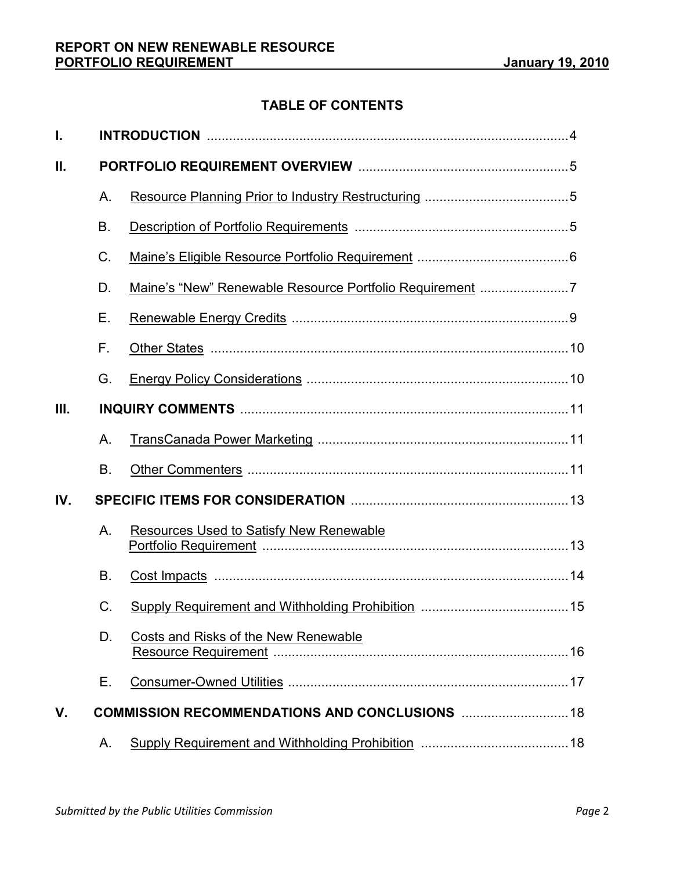# TABLE OF CONTENTS

| I.   |                                                |                                                |    |  |
|------|------------------------------------------------|------------------------------------------------|----|--|
| Ш.   |                                                |                                                |    |  |
|      | A.                                             |                                                |    |  |
|      | B.                                             |                                                |    |  |
|      | C.                                             |                                                |    |  |
|      | D.                                             |                                                |    |  |
|      | Е.                                             |                                                |    |  |
|      | F.                                             |                                                |    |  |
|      | G.                                             |                                                |    |  |
| III. |                                                |                                                |    |  |
|      | А.                                             |                                                |    |  |
|      | Β.                                             |                                                |    |  |
| IV.  |                                                |                                                |    |  |
|      | Α.                                             | <b>Resources Used to Satisfy New Renewable</b> |    |  |
|      | Β.                                             |                                                |    |  |
|      | C.                                             |                                                |    |  |
|      | D.                                             | <b>Costs and Risks of the New Renewable</b>    | 16 |  |
|      | Е.                                             |                                                |    |  |
| V.   | COMMISSION RECOMMENDATIONS AND CONCLUSIONS  18 |                                                |    |  |
|      | Α.                                             |                                                |    |  |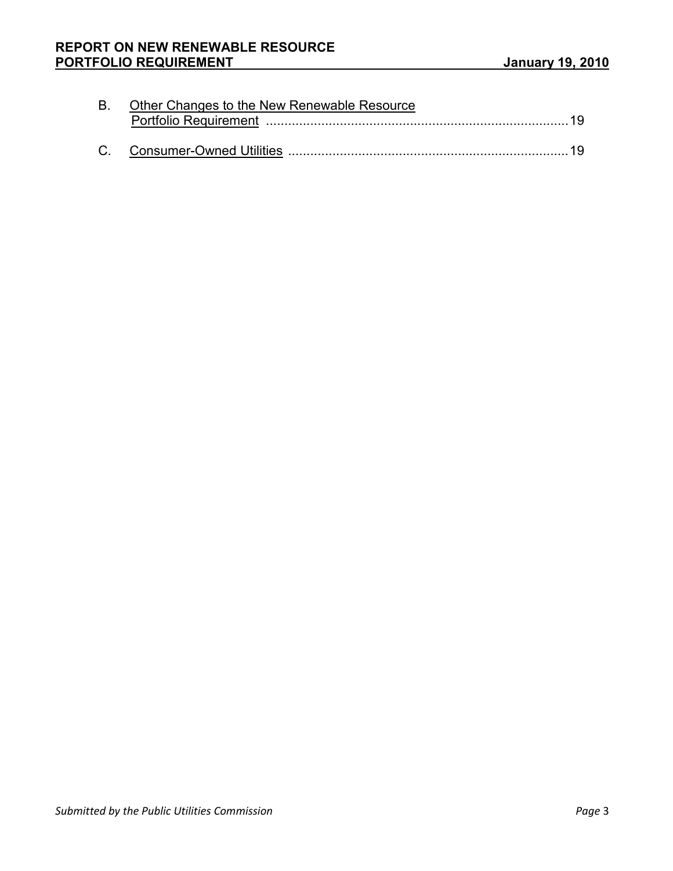| B. Other Changes to the New Renewable Resource |  |  |  |  |
|------------------------------------------------|--|--|--|--|
|                                                |  |  |  |  |
|                                                |  |  |  |  |
|                                                |  |  |  |  |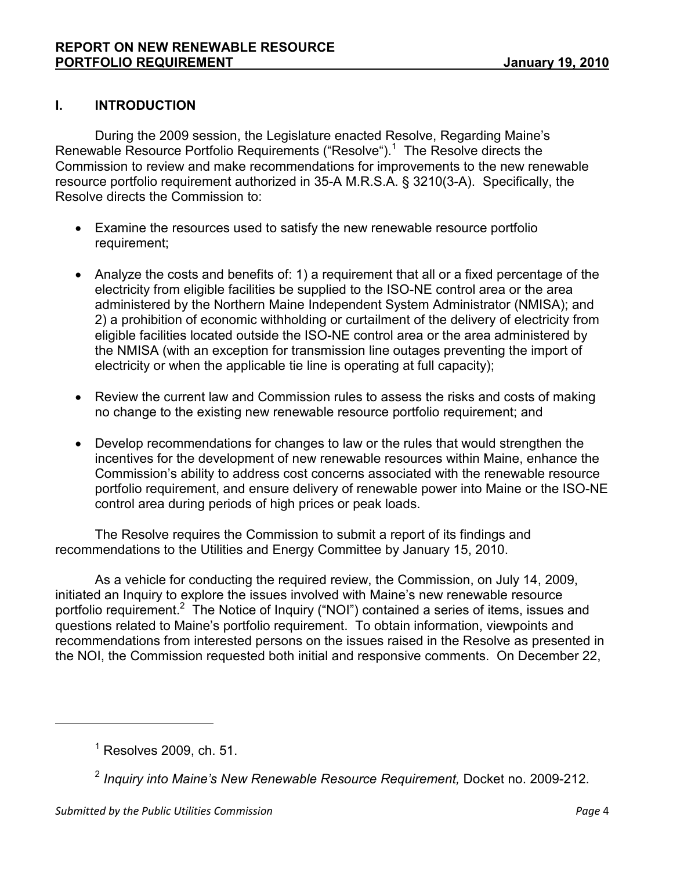# I. INTRODUCTION

During the 2009 session, the Legislature enacted Resolve, Regarding Maine's Renewable Resource Portfolio Requirements ("Resolve").<sup>1</sup> The Resolve directs the Commission to review and make recommendations for improvements to the new renewable resource portfolio requirement authorized in 35-A M.R.S.A. § 3210(3-A). Specifically, the Resolve directs the Commission to:

- Examine the resources used to satisfy the new renewable resource portfolio requirement;
- Analyze the costs and benefits of: 1) a requirement that all or a fixed percentage of the electricity from eligible facilities be supplied to the ISO-NE control area or the area administered by the Northern Maine Independent System Administrator (NMISA); and 2) a prohibition of economic withholding or curtailment of the delivery of electricity from eligible facilities located outside the ISO-NE control area or the area administered by the NMISA (with an exception for transmission line outages preventing the import of electricity or when the applicable tie line is operating at full capacity);
- Review the current law and Commission rules to assess the risks and costs of making no change to the existing new renewable resource portfolio requirement; and
- Develop recommendations for changes to law or the rules that would strengthen the incentives for the development of new renewable resources within Maine, enhance the Commission's ability to address cost concerns associated with the renewable resource portfolio requirement, and ensure delivery of renewable power into Maine or the ISO-NE control area during periods of high prices or peak loads.

The Resolve requires the Commission to submit a report of its findings and recommendations to the Utilities and Energy Committee by January 15, 2010.

As a vehicle for conducting the required review, the Commission, on July 14, 2009, initiated an Inquiry to explore the issues involved with Maine's new renewable resource portfolio requirement.<sup>2</sup> The Notice of Inquiry ("NOI") contained a series of items, issues and questions related to Maine's portfolio requirement. To obtain information, viewpoints and recommendations from interested persons on the issues raised in the Resolve as presented in the NOI, the Commission requested both initial and responsive comments. On December 22,

 $<sup>1</sup>$  Resolves 2009, ch. 51.</sup>

 $^2$  Inquiry into Maine's New Renewable Resource Requirement, Docket no. 2009-212.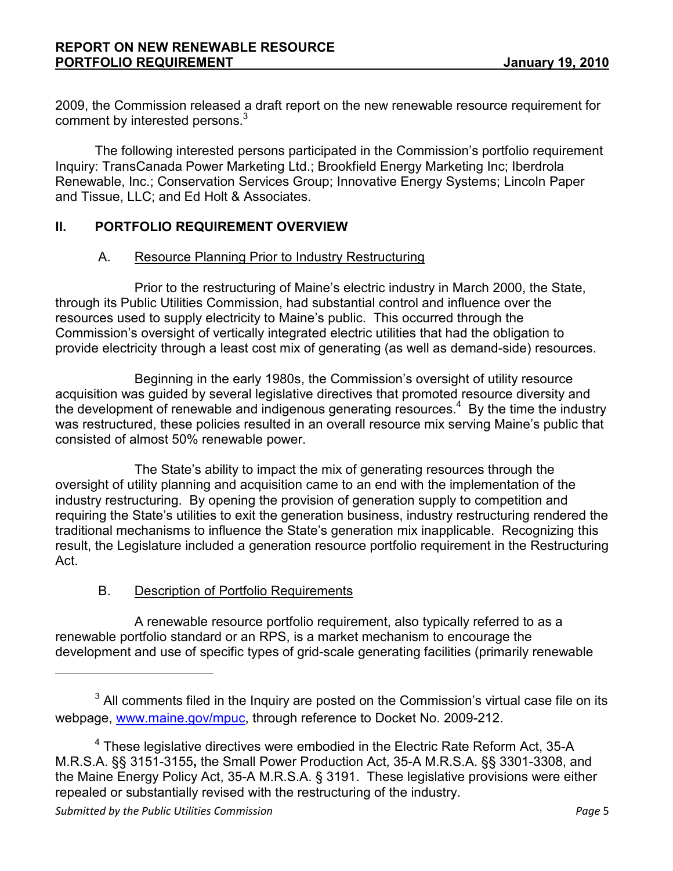2009, the Commission released a draft report on the new renewable resource requirement for comment by interested persons.<sup>3</sup>

The following interested persons participated in the Commission's portfolio requirement Inquiry: TransCanada Power Marketing Ltd.; Brookfield Energy Marketing Inc; Iberdrola Renewable, Inc.; Conservation Services Group; Innovative Energy Systems; Lincoln Paper and Tissue, LLC; and Ed Holt & Associates.

# II. PORTFOLIO REQUIREMENT OVERVIEW

#### A. Resource Planning Prior to Industry Restructuring

 Prior to the restructuring of Maine's electric industry in March 2000, the State, through its Public Utilities Commission, had substantial control and influence over the resources used to supply electricity to Maine's public. This occurred through the Commission's oversight of vertically integrated electric utilities that had the obligation to provide electricity through a least cost mix of generating (as well as demand-side) resources.

 Beginning in the early 1980s, the Commission's oversight of utility resource acquisition was guided by several legislative directives that promoted resource diversity and the development of renewable and indigenous generating resources.<sup>4</sup> By the time the industry was restructured, these policies resulted in an overall resource mix serving Maine's public that consisted of almost 50% renewable power.

 The State's ability to impact the mix of generating resources through the oversight of utility planning and acquisition came to an end with the implementation of the industry restructuring. By opening the provision of generation supply to competition and requiring the State's utilities to exit the generation business, industry restructuring rendered the traditional mechanisms to influence the State's generation mix inapplicable. Recognizing this result, the Legislature included a generation resource portfolio requirement in the Restructuring Act.

# B. Description of Portfolio Requirements

 A renewable resource portfolio requirement, also typically referred to as a renewable portfolio standard or an RPS, is a market mechanism to encourage the development and use of specific types of grid-scale generating facilities (primarily renewable

 $3$  All comments filed in the Inquiry are posted on the Commission's virtual case file on its webpage, www.maine.gov/mpuc, through reference to Docket No. 2009-212.

<sup>&</sup>lt;sup>4</sup> These legislative directives were embodied in the Electric Rate Reform Act, 35-A M.R.S.A. §§ 3151-3155, the Small Power Production Act, 35-A M.R.S.A. §§ 3301-3308, and the Maine Energy Policy Act, 35-A M.R.S.A. § 3191. These legislative provisions were either repealed or substantially revised with the restructuring of the industry.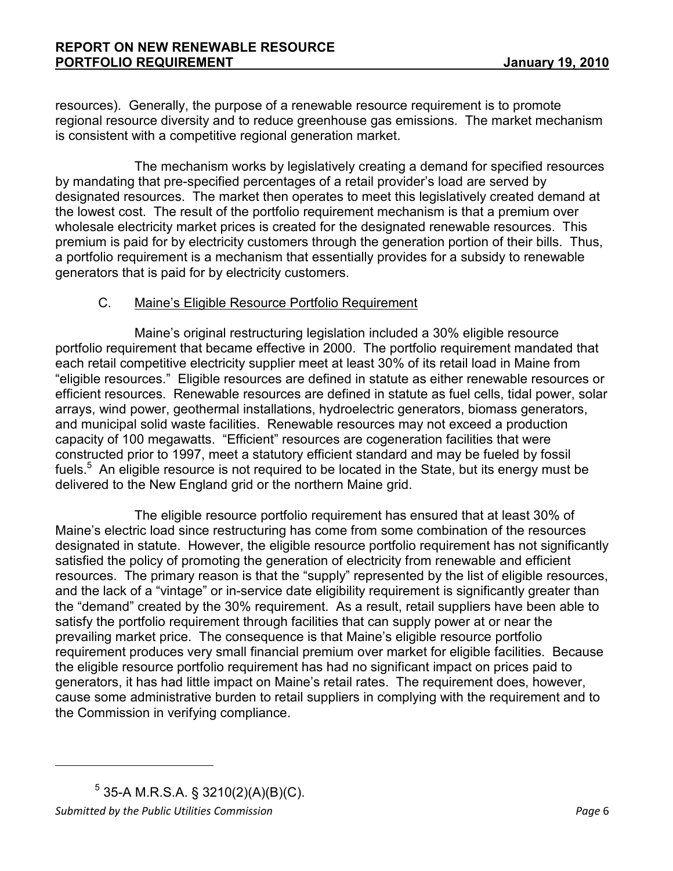resources). Generally, the purpose of a renewable resource requirement is to promote regional resource diversity and to reduce greenhouse gas emissions. The market mechanism is consistent with a competitive regional generation market.

The mechanism works by legislatively creating a demand for specified resources by mandating that pre-specified percentages of a retail provider's load are served by designated resources. The market then operates to meet this legislatively created demand at the lowest cost. The result of the portfolio requirement mechanism is that a premium over wholesale electricity market prices is created for the designated renewable resources. This premium is paid for by electricity customers through the generation portion of their bills. Thus, a portfolio requirement is a mechanism that essentially provides for a subsidy to renewable generators that is paid for by electricity customers.

#### C. Maine's Eligible Resource Portfolio Requirement

 Maine's original restructuring legislation included a 30% eligible resource portfolio requirement that became effective in 2000. The portfolio requirement mandated that each retail competitive electricity supplier meet at least 30% of its retail load in Maine from "eligible resources." Eligible resources are defined in statute as either renewable resources or efficient resources. Renewable resources are defined in statute as fuel cells, tidal power, solar arrays, wind power, geothermal installations, hydroelectric generators, biomass generators, and municipal solid waste facilities. Renewable resources may not exceed a production capacity of 100 megawatts. "Efficient" resources are cogeneration facilities that were constructed prior to 1997, meet a statutory efficient standard and may be fueled by fossil fuels.<sup>5</sup> An eligible resource is not required to be located in the State, but its energy must be delivered to the New England grid or the northern Maine grid.

 The eligible resource portfolio requirement has ensured that at least 30% of Maine's electric load since restructuring has come from some combination of the resources designated in statute. However, the eligible resource portfolio requirement has not significantly satisfied the policy of promoting the generation of electricity from renewable and efficient resources. The primary reason is that the "supply" represented by the list of eligible resources, and the lack of a "vintage" or in-service date eligibility requirement is significantly greater than the "demand" created by the 30% requirement. As a result, retail suppliers have been able to satisfy the portfolio requirement through facilities that can supply power at or near the prevailing market price. The consequence is that Maine's eligible resource portfolio requirement produces very small financial premium over market for eligible facilities. Because the eligible resource portfolio requirement has had no significant impact on prices paid to generators, it has had little impact on Maine's retail rates. The requirement does, however, cause some administrative burden to retail suppliers in complying with the requirement and to the Commission in verifying compliance.

Submitted by the Public Utilities Commission **Page 6** and the Utilities Commission  $5$  35-A M.R.S.A. § 3210(2)(A)(B)(C).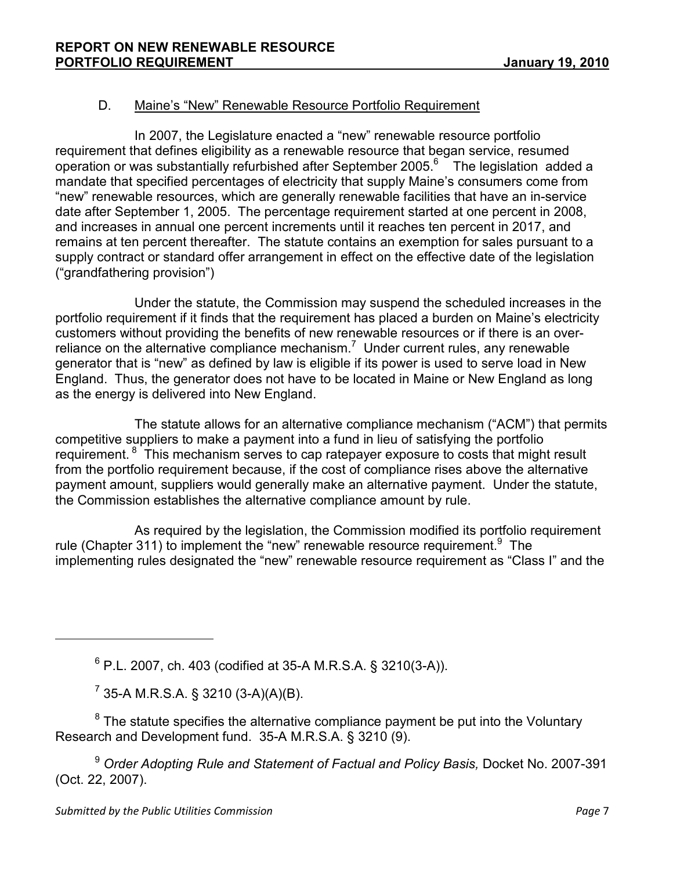# D. Maine's "New" Renewable Resource Portfolio Requirement

In 2007, the Legislature enacted a "new" renewable resource portfolio requirement that defines eligibility as a renewable resource that began service, resumed operation or was substantially refurbished after September 2005.<sup>6</sup> The legislation added a mandate that specified percentages of electricity that supply Maine's consumers come from "new" renewable resources, which are generally renewable facilities that have an in-service date after September 1, 2005. The percentage requirement started at one percent in 2008, and increases in annual one percent increments until it reaches ten percent in 2017, and remains at ten percent thereafter. The statute contains an exemption for sales pursuant to a supply contract or standard offer arrangement in effect on the effective date of the legislation ("grandfathering provision")

Under the statute, the Commission may suspend the scheduled increases in the portfolio requirement if it finds that the requirement has placed a burden on Maine's electricity customers without providing the benefits of new renewable resources or if there is an overreliance on the alternative compliance mechanism.<sup>7</sup> Under current rules, any renewable generator that is "new" as defined by law is eligible if its power is used to serve load in New England. Thus, the generator does not have to be located in Maine or New England as long as the energy is delivered into New England.

The statute allows for an alternative compliance mechanism ("ACM") that permits competitive suppliers to make a payment into a fund in lieu of satisfying the portfolio requirement.<sup>8</sup> This mechanism serves to cap ratepayer exposure to costs that might result from the portfolio requirement because, if the cost of compliance rises above the alternative payment amount, suppliers would generally make an alternative payment. Under the statute, the Commission establishes the alternative compliance amount by rule.

 As required by the legislation, the Commission modified its portfolio requirement rule (Chapter 311) to implement the "new" renewable resource requirement.  $9$  The implementing rules designated the "new" renewable resource requirement as "Class I" and the

 $6$  P.L. 2007, ch. 403 (codified at 35-A M.R.S.A. § 3210(3-A)).

 $7$  35-A M.R.S.A. § 3210 (3-A)(A)(B).

 $8$  The statute specifies the alternative compliance payment be put into the Voluntary Research and Development fund. 35-A M.R.S.A. § 3210 (9).

<sup>9</sup> Order Adopting Rule and Statement of Factual and Policy Basis, Docket No. 2007-391 (Oct. 22, 2007).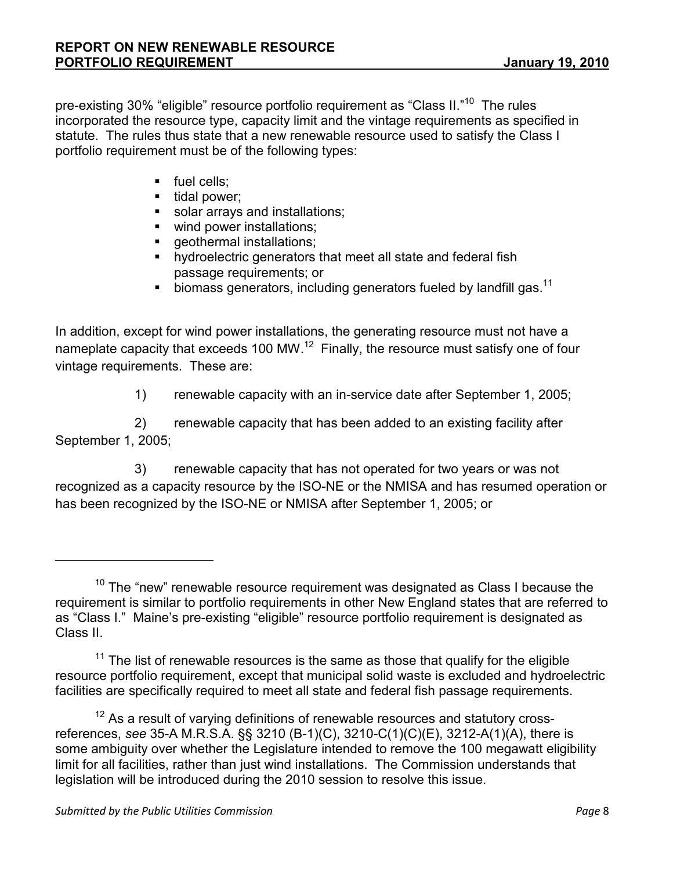pre-existing 30% "eligible" resource portfolio requirement as "Class II."<sup>10</sup> The rules incorporated the resource type, capacity limit and the vintage requirements as specified in statute. The rules thus state that a new renewable resource used to satisfy the Class I portfolio requirement must be of the following types:

- **fuel cells;**
- tidal power:
- solar arrays and installations;
- wind power installations;
- **geothermal installations;**
- **•** hydroelectric generators that meet all state and federal fish passage requirements; or
- $\bullet$  biomass generators, including generators fueled by landfill gas.<sup>11</sup>

In addition, except for wind power installations, the generating resource must not have a nameplate capacity that exceeds 100 MW.<sup>12</sup> Finally, the resource must satisfy one of four vintage requirements. These are:

1) renewable capacity with an in-service date after September 1, 2005;

2) renewable capacity that has been added to an existing facility after September 1, 2005;

3) renewable capacity that has not operated for two years or was not recognized as a capacity resource by the ISO-NE or the NMISA and has resumed operation or has been recognized by the ISO-NE or NMISA after September 1, 2005; or

<sup>12</sup> As a result of varying definitions of renewable resources and statutory crossreferences, see 35-A M.R.S.A. §§ 3210 (B-1)(C), 3210-C(1)(C)(E), 3212-A(1)(A), there is some ambiguity over whether the Legislature intended to remove the 100 megawatt eligibility limit for all facilities, rather than just wind installations. The Commission understands that legislation will be introduced during the 2010 session to resolve this issue.

 $10$  The "new" renewable resource requirement was designated as Class I because the requirement is similar to portfolio requirements in other New England states that are referred to as "Class I." Maine's pre-existing "eligible" resource portfolio requirement is designated as Class II.

 $11$  The list of renewable resources is the same as those that qualify for the eligible resource portfolio requirement, except that municipal solid waste is excluded and hydroelectric facilities are specifically required to meet all state and federal fish passage requirements.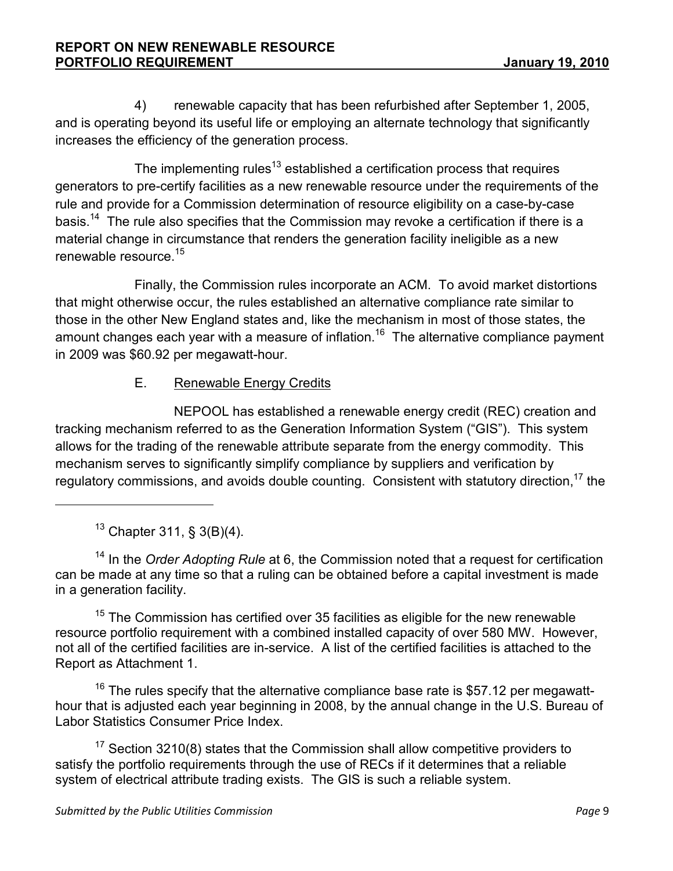4) renewable capacity that has been refurbished after September 1, 2005, and is operating beyond its useful life or employing an alternate technology that significantly increases the efficiency of the generation process.

The implementing rules<sup>13</sup> established a certification process that requires generators to pre-certify facilities as a new renewable resource under the requirements of the rule and provide for a Commission determination of resource eligibility on a case-by-case basis.<sup>14</sup> The rule also specifies that the Commission may revoke a certification if there is a material change in circumstance that renders the generation facility ineligible as a new renewable resource.<sup>15</sup>

Finally, the Commission rules incorporate an ACM. To avoid market distortions that might otherwise occur, the rules established an alternative compliance rate similar to those in the other New England states and, like the mechanism in most of those states, the amount changes each year with a measure of inflation.<sup>16</sup> The alternative compliance payment in 2009 was \$60.92 per megawatt-hour.

# E. Renewable Energy Credits

 NEPOOL has established a renewable energy credit (REC) creation and tracking mechanism referred to as the Generation Information System ("GIS"). This system allows for the trading of the renewable attribute separate from the energy commodity. This mechanism serves to significantly simplify compliance by suppliers and verification by regulatory commissions, and avoids double counting. Consistent with statutory direction,<sup>17</sup> the

<sup>13</sup> Chapter 311, § 3(B)(4).

l

 $14$  In the Order Adopting Rule at 6, the Commission noted that a request for certification can be made at any time so that a ruling can be obtained before a capital investment is made in a generation facility.

 $15$  The Commission has certified over 35 facilities as eligible for the new renewable resource portfolio requirement with a combined installed capacity of over 580 MW. However, not all of the certified facilities are in-service. A list of the certified facilities is attached to the Report as Attachment 1.

 $16$  The rules specify that the alternative compliance base rate is \$57.12 per megawatthour that is adjusted each year beginning in 2008, by the annual change in the U.S. Bureau of Labor Statistics Consumer Price Index.

 $17$  Section 3210(8) states that the Commission shall allow competitive providers to satisfy the portfolio requirements through the use of RECs if it determines that a reliable system of electrical attribute trading exists. The GIS is such a reliable system.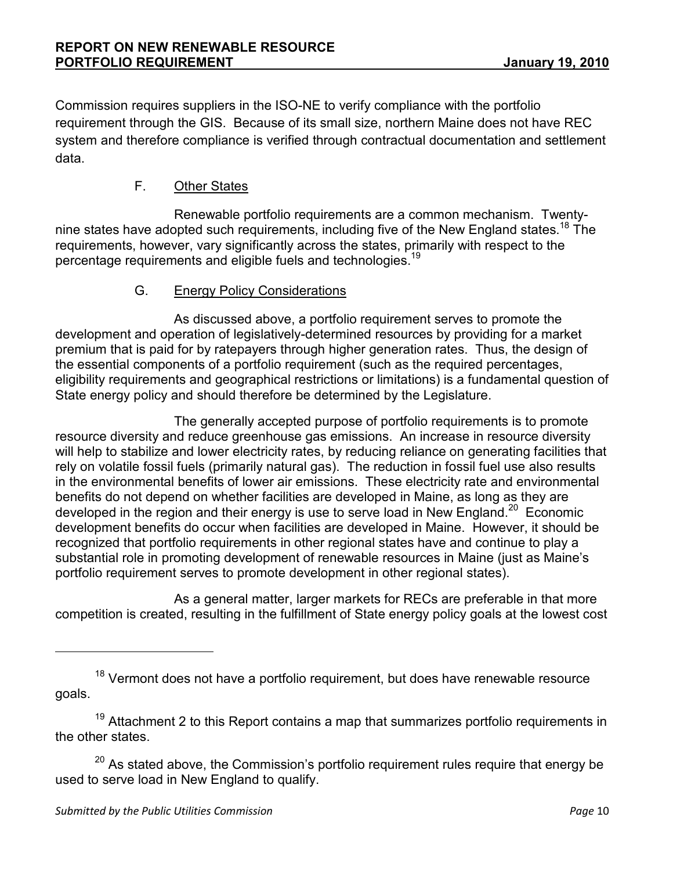Commission requires suppliers in the ISO-NE to verify compliance with the portfolio requirement through the GIS. Because of its small size, northern Maine does not have REC system and therefore compliance is verified through contractual documentation and settlement data.

# F. Other States

 Renewable portfolio requirements are a common mechanism. Twentynine states have adopted such requirements, including five of the New England states.<sup>18</sup> The requirements, however, vary significantly across the states, primarily with respect to the percentage requirements and eligible fuels and technologies.<sup>19</sup>

#### G. Energy Policy Considerations

 As discussed above, a portfolio requirement serves to promote the development and operation of legislatively-determined resources by providing for a market premium that is paid for by ratepayers through higher generation rates. Thus, the design of the essential components of a portfolio requirement (such as the required percentages, eligibility requirements and geographical restrictions or limitations) is a fundamental question of State energy policy and should therefore be determined by the Legislature.

 The generally accepted purpose of portfolio requirements is to promote resource diversity and reduce greenhouse gas emissions. An increase in resource diversity will help to stabilize and lower electricity rates, by reducing reliance on generating facilities that rely on volatile fossil fuels (primarily natural gas). The reduction in fossil fuel use also results in the environmental benefits of lower air emissions. These electricity rate and environmental benefits do not depend on whether facilities are developed in Maine, as long as they are developed in the region and their energy is use to serve load in New England.<sup>20</sup> Economic development benefits do occur when facilities are developed in Maine. However, it should be recognized that portfolio requirements in other regional states have and continue to play a substantial role in promoting development of renewable resources in Maine (just as Maine's portfolio requirement serves to promote development in other regional states).

 As a general matter, larger markets for RECs are preferable in that more competition is created, resulting in the fulfillment of State energy policy goals at the lowest cost

 $19$  Attachment 2 to this Report contains a map that summarizes portfolio requirements in the other states.

 $20$  As stated above, the Commission's portfolio requirement rules require that energy be used to serve load in New England to qualify.

 $18$  Vermont does not have a portfolio requirement, but does have renewable resource goals.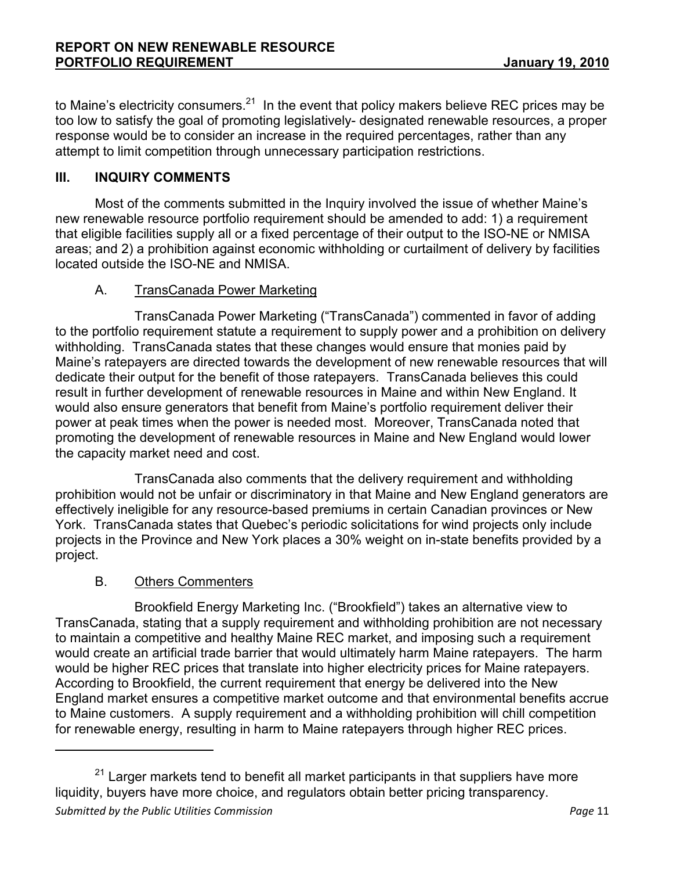to Maine's electricity consumers.<sup>21</sup> In the event that policy makers believe REC prices may be too low to satisfy the goal of promoting legislatively- designated renewable resources, a proper response would be to consider an increase in the required percentages, rather than any attempt to limit competition through unnecessary participation restrictions.

# III. INQUIRY COMMENTS

Most of the comments submitted in the Inquiry involved the issue of whether Maine's new renewable resource portfolio requirement should be amended to add: 1) a requirement that eligible facilities supply all or a fixed percentage of their output to the ISO-NE or NMISA areas; and 2) a prohibition against economic withholding or curtailment of delivery by facilities located outside the ISO-NE and NMISA.

#### A. TransCanada Power Marketing

 TransCanada Power Marketing ("TransCanada") commented in favor of adding to the portfolio requirement statute a requirement to supply power and a prohibition on delivery withholding. TransCanada states that these changes would ensure that monies paid by Maine's ratepayers are directed towards the development of new renewable resources that will dedicate their output for the benefit of those ratepayers. TransCanada believes this could result in further development of renewable resources in Maine and within New England. It would also ensure generators that benefit from Maine's portfolio requirement deliver their power at peak times when the power is needed most. Moreover, TransCanada noted that promoting the development of renewable resources in Maine and New England would lower the capacity market need and cost.

 TransCanada also comments that the delivery requirement and withholding prohibition would not be unfair or discriminatory in that Maine and New England generators are effectively ineligible for any resource-based premiums in certain Canadian provinces or New York. TransCanada states that Quebec's periodic solicitations for wind projects only include projects in the Province and New York places a 30% weight on in-state benefits provided by a project.

#### B. Others Commenters

l

 Brookfield Energy Marketing Inc. ("Brookfield") takes an alternative view to TransCanada, stating that a supply requirement and withholding prohibition are not necessary to maintain a competitive and healthy Maine REC market, and imposing such a requirement would create an artificial trade barrier that would ultimately harm Maine ratepayers. The harm would be higher REC prices that translate into higher electricity prices for Maine ratepayers. According to Brookfield, the current requirement that energy be delivered into the New England market ensures a competitive market outcome and that environmental benefits accrue to Maine customers. A supply requirement and a withholding prohibition will chill competition for renewable energy, resulting in harm to Maine ratepayers through higher REC prices.

Submitted by the Public Utilities Commission **Page 11** Page 11  $21$  Larger markets tend to benefit all market participants in that suppliers have more liquidity, buyers have more choice, and regulators obtain better pricing transparency.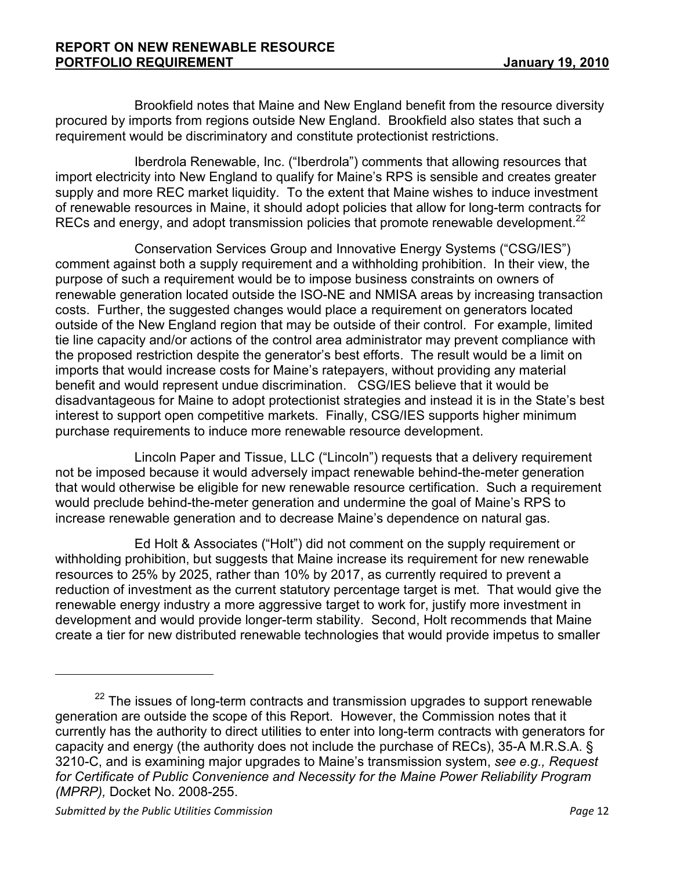Brookfield notes that Maine and New England benefit from the resource diversity procured by imports from regions outside New England. Brookfield also states that such a requirement would be discriminatory and constitute protectionist restrictions.

 Iberdrola Renewable, Inc. ("Iberdrola") comments that allowing resources that import electricity into New England to qualify for Maine's RPS is sensible and creates greater supply and more REC market liquidity. To the extent that Maine wishes to induce investment of renewable resources in Maine, it should adopt policies that allow for long-term contracts for RECs and energy, and adopt transmission policies that promote renewable development.<sup>22</sup>

 Conservation Services Group and Innovative Energy Systems ("CSG/IES") comment against both a supply requirement and a withholding prohibition. In their view, the purpose of such a requirement would be to impose business constraints on owners of renewable generation located outside the ISO-NE and NMISA areas by increasing transaction costs. Further, the suggested changes would place a requirement on generators located outside of the New England region that may be outside of their control. For example, limited tie line capacity and/or actions of the control area administrator may prevent compliance with the proposed restriction despite the generator's best efforts. The result would be a limit on imports that would increase costs for Maine's ratepayers, without providing any material benefit and would represent undue discrimination. CSG/IES believe that it would be disadvantageous for Maine to adopt protectionist strategies and instead it is in the State's best interest to support open competitive markets. Finally, CSG/IES supports higher minimum purchase requirements to induce more renewable resource development.

 Lincoln Paper and Tissue, LLC ("Lincoln") requests that a delivery requirement not be imposed because it would adversely impact renewable behind-the-meter generation that would otherwise be eligible for new renewable resource certification. Such a requirement would preclude behind-the-meter generation and undermine the goal of Maine's RPS to increase renewable generation and to decrease Maine's dependence on natural gas.

 Ed Holt & Associates ("Holt") did not comment on the supply requirement or withholding prohibition, but suggests that Maine increase its requirement for new renewable resources to 25% by 2025, rather than 10% by 2017, as currently required to prevent a reduction of investment as the current statutory percentage target is met. That would give the renewable energy industry a more aggressive target to work for, justify more investment in development and would provide longer-term stability. Second, Holt recommends that Maine create a tier for new distributed renewable technologies that would provide impetus to smaller

 $22$  The issues of long-term contracts and transmission upgrades to support renewable generation are outside the scope of this Report. However, the Commission notes that it currently has the authority to direct utilities to enter into long-term contracts with generators for capacity and energy (the authority does not include the purchase of RECs), 35-A M.R.S.A. § 3210-C, and is examining major upgrades to Maine's transmission system, see e.g., Request for Certificate of Public Convenience and Necessity for the Maine Power Reliability Program (MPRP), Docket No. 2008-255.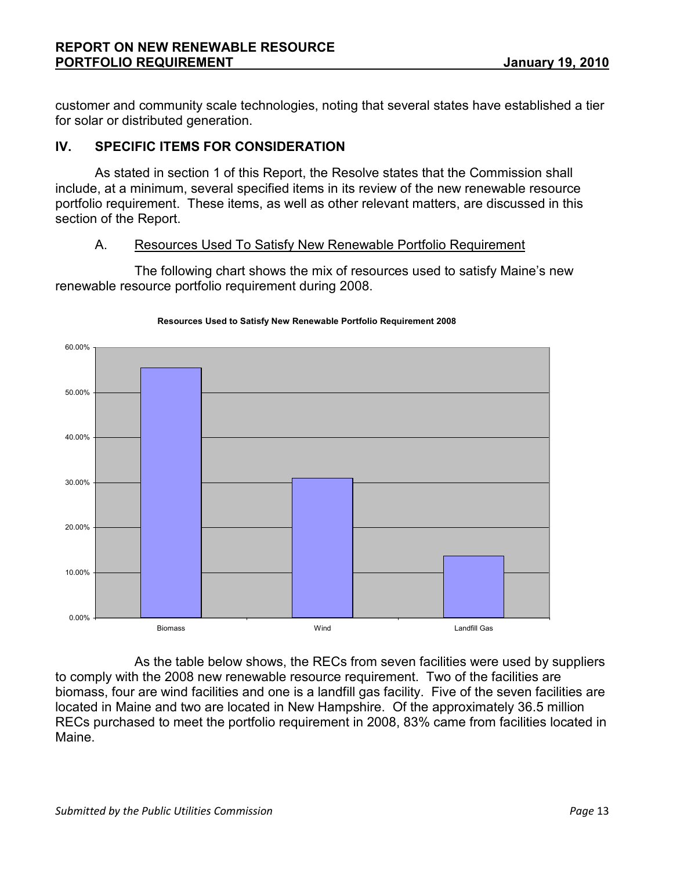customer and community scale technologies, noting that several states have established a tier for solar or distributed generation.

# IV. SPECIFIC ITEMS FOR CONSIDERATION

As stated in section 1 of this Report, the Resolve states that the Commission shall include, at a minimum, several specified items in its review of the new renewable resource portfolio requirement. These items, as well as other relevant matters, are discussed in this section of the Report.

#### A. Resources Used To Satisfy New Renewable Portfolio Requirement

 The following chart shows the mix of resources used to satisfy Maine's new renewable resource portfolio requirement during 2008.



#### Resources Used to Satisfy New Renewable Portfolio Requirement 2008

 As the table below shows, the RECs from seven facilities were used by suppliers to comply with the 2008 new renewable resource requirement. Two of the facilities are biomass, four are wind facilities and one is a landfill gas facility. Five of the seven facilities are located in Maine and two are located in New Hampshire. Of the approximately 36.5 million RECs purchased to meet the portfolio requirement in 2008, 83% came from facilities located in Maine.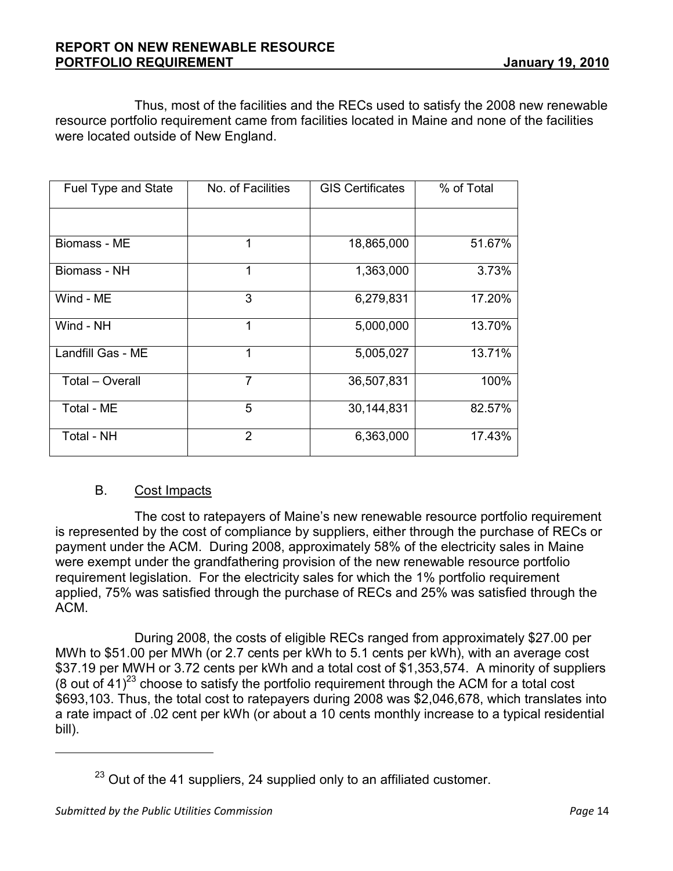Thus, most of the facilities and the RECs used to satisfy the 2008 new renewable resource portfolio requirement came from facilities located in Maine and none of the facilities were located outside of New England.

| Fuel Type and State | No. of Facilities | <b>GIS Certificates</b> | % of Total |
|---------------------|-------------------|-------------------------|------------|
|                     |                   |                         |            |
| Biomass - ME        | 1                 | 18,865,000              | 51.67%     |
| Biomass - NH        | 1                 | 1,363,000               | 3.73%      |
| Wind - ME           | 3                 | 6,279,831               | 17.20%     |
| Wind - NH           | 1                 | 5,000,000               | 13.70%     |
| Landfill Gas - ME   | 1                 | 5,005,027               | 13.71%     |
| Total - Overall     | $\overline{7}$    | 36,507,831              | 100%       |
| Total - ME          | 5                 | 30,144,831              | 82.57%     |
| Total - NH          | $\overline{2}$    | 6,363,000               | 17.43%     |

#### B. Cost Impacts

 The cost to ratepayers of Maine's new renewable resource portfolio requirement is represented by the cost of compliance by suppliers, either through the purchase of RECs or payment under the ACM. During 2008, approximately 58% of the electricity sales in Maine were exempt under the grandfathering provision of the new renewable resource portfolio requirement legislation. For the electricity sales for which the 1% portfolio requirement applied, 75% was satisfied through the purchase of RECs and 25% was satisfied through the ACM.

 During 2008, the costs of eligible RECs ranged from approximately \$27.00 per MWh to \$51.00 per MWh (or 2.7 cents per kWh to 5.1 cents per kWh), with an average cost \$37.19 per MWH or 3.72 cents per kWh and a total cost of \$1,353,574. A minority of suppliers (8 out of 41)<sup>23</sup> choose to satisfy the portfolio requirement through the ACM for a total cost \$693,103. Thus, the total cost to ratepayers during 2008 was \$2,046,678, which translates into a rate impact of .02 cent per kWh (or about a 10 cents monthly increase to a typical residential bill).

 $23$  Out of the 41 suppliers, 24 supplied only to an affiliated customer.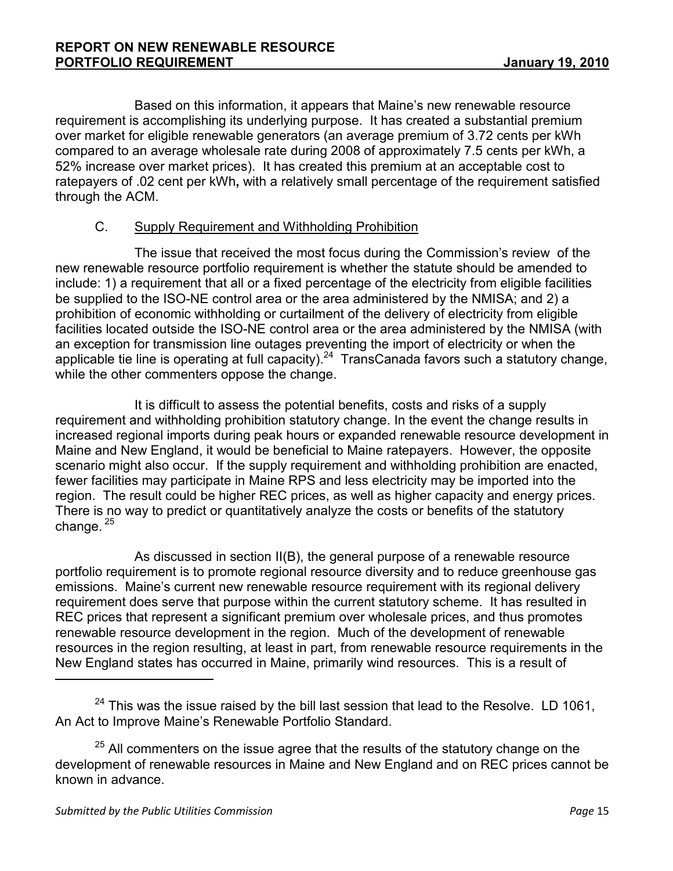Based on this information, it appears that Maine's new renewable resource requirement is accomplishing its underlying purpose. It has created a substantial premium over market for eligible renewable generators (an average premium of 3.72 cents per kWh compared to an average wholesale rate during 2008 of approximately 7.5 cents per kWh, a 52% increase over market prices). It has created this premium at an acceptable cost to ratepayers of .02 cent per kWh, with a relatively small percentage of the requirement satisfied through the ACM.

# C. Supply Requirement and Withholding Prohibition

 The issue that received the most focus during the Commission's review of the new renewable resource portfolio requirement is whether the statute should be amended to include: 1) a requirement that all or a fixed percentage of the electricity from eligible facilities be supplied to the ISO-NE control area or the area administered by the NMISA; and 2) a prohibition of economic withholding or curtailment of the delivery of electricity from eligible facilities located outside the ISO-NE control area or the area administered by the NMISA (with an exception for transmission line outages preventing the import of electricity or when the applicable tie line is operating at full capacity).<sup>24</sup> TransCanada favors such a statutory change, while the other commenters oppose the change.

 It is difficult to assess the potential benefits, costs and risks of a supply requirement and withholding prohibition statutory change. In the event the change results in increased regional imports during peak hours or expanded renewable resource development in Maine and New England, it would be beneficial to Maine ratepayers. However, the opposite scenario might also occur. If the supply requirement and withholding prohibition are enacted, fewer facilities may participate in Maine RPS and less electricity may be imported into the region. The result could be higher REC prices, as well as higher capacity and energy prices. There is no way to predict or quantitatively analyze the costs or benefits of the statutory change.<sup>25</sup>

 As discussed in section II(B), the general purpose of a renewable resource portfolio requirement is to promote regional resource diversity and to reduce greenhouse gas emissions. Maine's current new renewable resource requirement with its regional delivery requirement does serve that purpose within the current statutory scheme. It has resulted in REC prices that represent a significant premium over wholesale prices, and thus promotes renewable resource development in the region. Much of the development of renewable resources in the region resulting, at least in part, from renewable resource requirements in the New England states has occurred in Maine, primarily wind resources. This is a result of l

 $24$  This was the issue raised by the bill last session that lead to the Resolve. LD 1061, An Act to Improve Maine's Renewable Portfolio Standard.

<sup>&</sup>lt;sup>25</sup> All commenters on the issue agree that the results of the statutory change on the development of renewable resources in Maine and New England and on REC prices cannot be known in advance.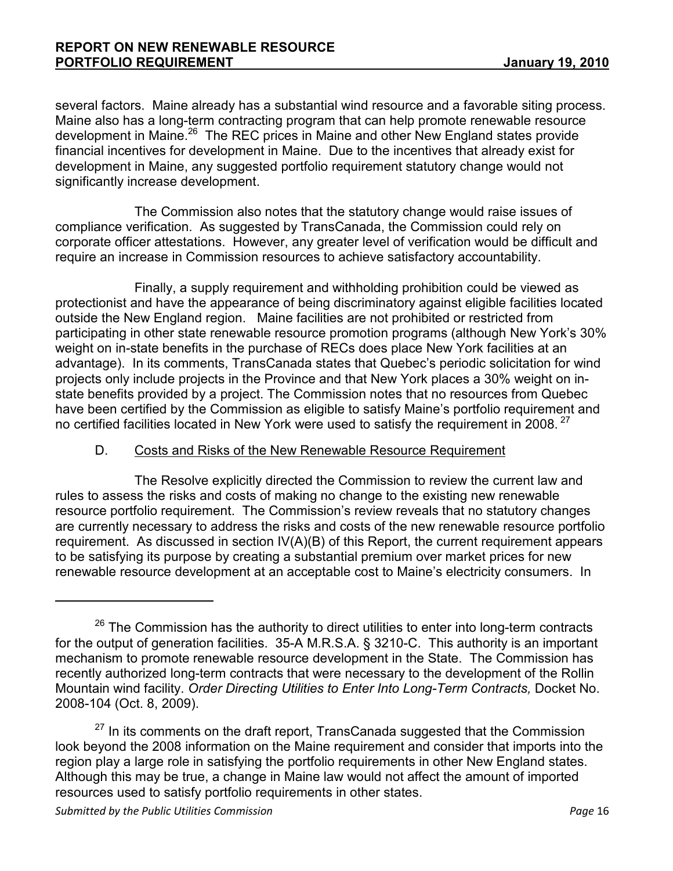several factors. Maine already has a substantial wind resource and a favorable siting process. Maine also has a long-term contracting program that can help promote renewable resource development in Maine.<sup>26</sup> The REC prices in Maine and other New England states provide financial incentives for development in Maine. Due to the incentives that already exist for development in Maine, any suggested portfolio requirement statutory change would not significantly increase development.

 The Commission also notes that the statutory change would raise issues of compliance verification. As suggested by TransCanada, the Commission could rely on corporate officer attestations. However, any greater level of verification would be difficult and require an increase in Commission resources to achieve satisfactory accountability.

 Finally, a supply requirement and withholding prohibition could be viewed as protectionist and have the appearance of being discriminatory against eligible facilities located outside the New England region. Maine facilities are not prohibited or restricted from participating in other state renewable resource promotion programs (although New York's 30% weight on in-state benefits in the purchase of RECs does place New York facilities at an advantage). In its comments, TransCanada states that Quebec's periodic solicitation for wind projects only include projects in the Province and that New York places a 30% weight on instate benefits provided by a project. The Commission notes that no resources from Quebec have been certified by the Commission as eligible to satisfy Maine's portfolio requirement and no certified facilities located in New York were used to satisfy the requirement in 2008.<sup>27</sup>

# D. Costs and Risks of the New Renewable Resource Requirement

 The Resolve explicitly directed the Commission to review the current law and rules to assess the risks and costs of making no change to the existing new renewable resource portfolio requirement. The Commission's review reveals that no statutory changes are currently necessary to address the risks and costs of the new renewable resource portfolio requirement. As discussed in section IV(A)(B) of this Report, the current requirement appears to be satisfying its purpose by creating a substantial premium over market prices for new renewable resource development at an acceptable cost to Maine's electricity consumers. In

 $27$  In its comments on the draft report, TransCanada suggested that the Commission look beyond the 2008 information on the Maine requirement and consider that imports into the region play a large role in satisfying the portfolio requirements in other New England states. Although this may be true, a change in Maine law would not affect the amount of imported resources used to satisfy portfolio requirements in other states.

 $26$  The Commission has the authority to direct utilities to enter into long-term contracts for the output of generation facilities. 35-A M.R.S.A. § 3210-C. This authority is an important mechanism to promote renewable resource development in the State. The Commission has recently authorized long-term contracts that were necessary to the development of the Rollin Mountain wind facility. Order Directing Utilities to Enter Into Long-Term Contracts, Docket No. 2008-104 (Oct. 8, 2009).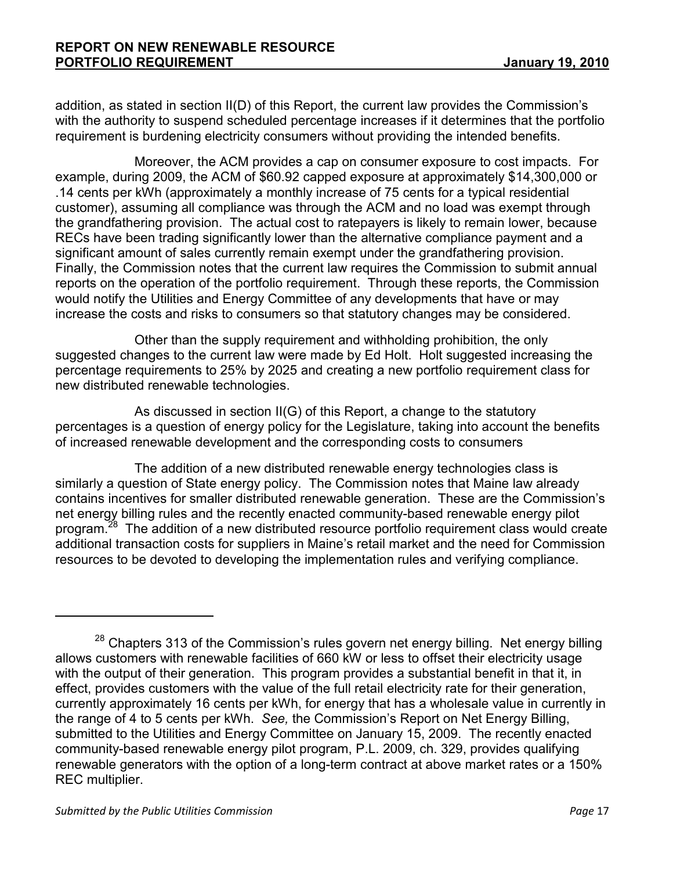addition, as stated in section II(D) of this Report, the current law provides the Commission's with the authority to suspend scheduled percentage increases if it determines that the portfolio requirement is burdening electricity consumers without providing the intended benefits.

Moreover, the ACM provides a cap on consumer exposure to cost impacts. For example, during 2009, the ACM of \$60.92 capped exposure at approximately \$14,300,000 or .14 cents per kWh (approximately a monthly increase of 75 cents for a typical residential customer), assuming all compliance was through the ACM and no load was exempt through the grandfathering provision. The actual cost to ratepayers is likely to remain lower, because RECs have been trading significantly lower than the alternative compliance payment and a significant amount of sales currently remain exempt under the grandfathering provision. Finally, the Commission notes that the current law requires the Commission to submit annual reports on the operation of the portfolio requirement. Through these reports, the Commission would notify the Utilities and Energy Committee of any developments that have or may increase the costs and risks to consumers so that statutory changes may be considered.

 Other than the supply requirement and withholding prohibition, the only suggested changes to the current law were made by Ed Holt. Holt suggested increasing the percentage requirements to 25% by 2025 and creating a new portfolio requirement class for new distributed renewable technologies.

 As discussed in section II(G) of this Report, a change to the statutory percentages is a question of energy policy for the Legislature, taking into account the benefits of increased renewable development and the corresponding costs to consumers

 The addition of a new distributed renewable energy technologies class is similarly a question of State energy policy. The Commission notes that Maine law already contains incentives for smaller distributed renewable generation. These are the Commission's net energy billing rules and the recently enacted community-based renewable energy pilot program.<sup>28</sup> The addition of a new distributed resource portfolio requirement class would create additional transaction costs for suppliers in Maine's retail market and the need for Commission resources to be devoted to developing the implementation rules and verifying compliance.

 $28$  Chapters 313 of the Commission's rules govern net energy billing. Net energy billing allows customers with renewable facilities of 660 kW or less to offset their electricity usage with the output of their generation. This program provides a substantial benefit in that it, in effect, provides customers with the value of the full retail electricity rate for their generation, currently approximately 16 cents per kWh, for energy that has a wholesale value in currently in the range of 4 to 5 cents per kWh. See, the Commission's Report on Net Energy Billing, submitted to the Utilities and Energy Committee on January 15, 2009. The recently enacted community-based renewable energy pilot program, P.L. 2009, ch. 329, provides qualifying renewable generators with the option of a long-term contract at above market rates or a 150% REC multiplier.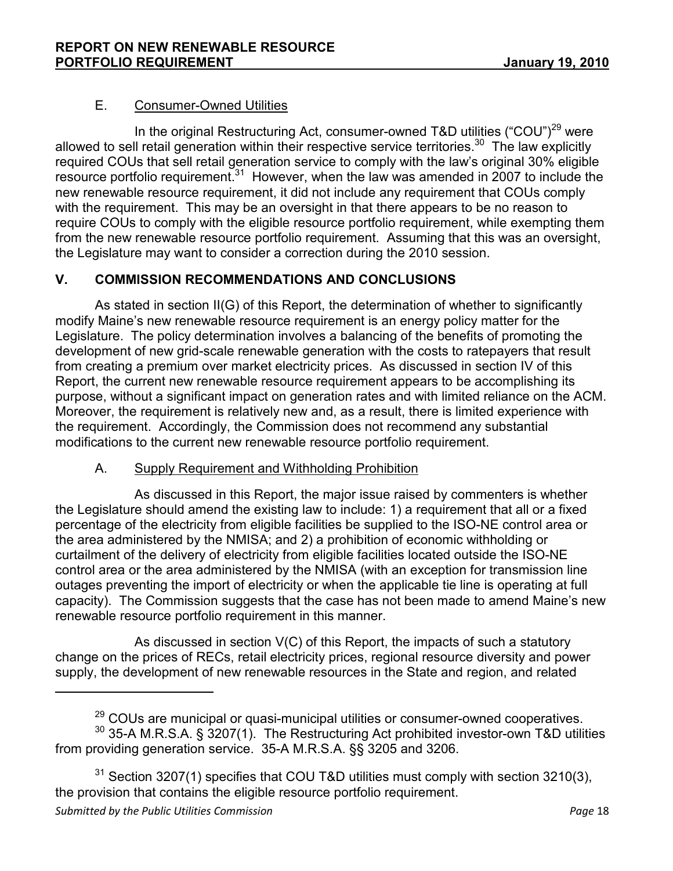# E. Consumer-Owned Utilities

In the original Restructuring Act, consumer-owned T&D utilities ("COU")<sup>29</sup> were allowed to sell retail generation within their respective service territories.<sup>30</sup> The law explicitly required COUs that sell retail generation service to comply with the law's original 30% eligible resource portfolio requirement.<sup>31</sup> However, when the law was amended in 2007 to include the new renewable resource requirement, it did not include any requirement that COUs comply with the requirement. This may be an oversight in that there appears to be no reason to require COUs to comply with the eligible resource portfolio requirement, while exempting them from the new renewable resource portfolio requirement. Assuming that this was an oversight, the Legislature may want to consider a correction during the 2010 session.

# V. COMMISSION RECOMMENDATIONS AND CONCLUSIONS

 As stated in section II(G) of this Report, the determination of whether to significantly modify Maine's new renewable resource requirement is an energy policy matter for the Legislature. The policy determination involves a balancing of the benefits of promoting the development of new grid-scale renewable generation with the costs to ratepayers that result from creating a premium over market electricity prices. As discussed in section IV of this Report, the current new renewable resource requirement appears to be accomplishing its purpose, without a significant impact on generation rates and with limited reliance on the ACM. Moreover, the requirement is relatively new and, as a result, there is limited experience with the requirement. Accordingly, the Commission does not recommend any substantial modifications to the current new renewable resource portfolio requirement.

# A. Supply Requirement and Withholding Prohibition

 $\overline{a}$ 

 As discussed in this Report, the major issue raised by commenters is whether the Legislature should amend the existing law to include: 1) a requirement that all or a fixed percentage of the electricity from eligible facilities be supplied to the ISO-NE control area or the area administered by the NMISA; and 2) a prohibition of economic withholding or curtailment of the delivery of electricity from eligible facilities located outside the ISO-NE control area or the area administered by the NMISA (with an exception for transmission line outages preventing the import of electricity or when the applicable tie line is operating at full capacity). The Commission suggests that the case has not been made to amend Maine's new renewable resource portfolio requirement in this manner.

 As discussed in section V(C) of this Report, the impacts of such a statutory change on the prices of RECs, retail electricity prices, regional resource diversity and power supply, the development of new renewable resources in the State and region, and related

<sup>&</sup>lt;sup>29</sup> COUs are municipal or quasi-municipal utilities or consumer-owned cooperatives. <sup>30</sup> 35-A M.R.S.A. § 3207(1). The Restructuring Act prohibited investor-own T&D utilities from providing generation service. 35-A M.R.S.A. §§ 3205 and 3206.

Submitted by the Public Utilities Commission **Page 18** and the Page 18 <sup>31</sup> Section 3207(1) specifies that COU T&D utilities must comply with section 3210(3), the provision that contains the eligible resource portfolio requirement.